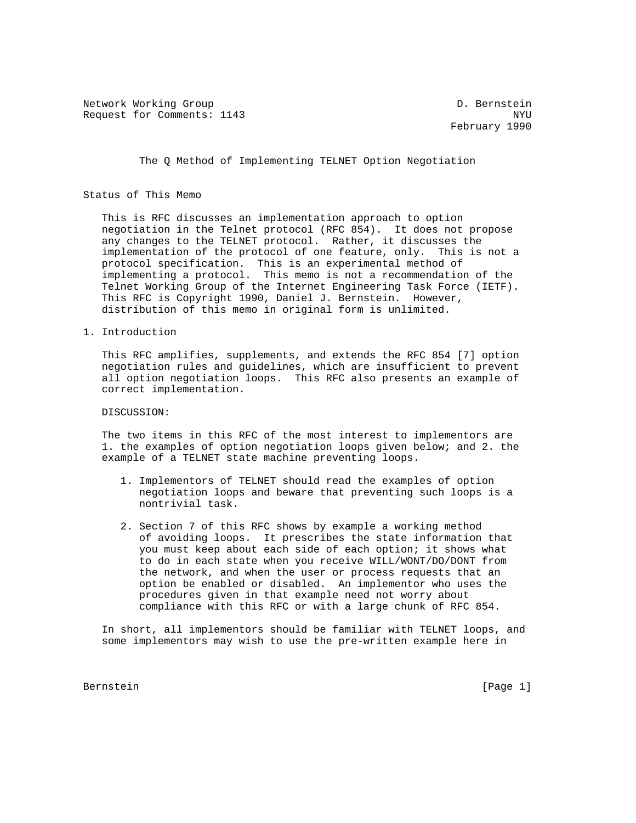Network Working Group D. Bernstein Request for Comments: 1143 NYU

February 1990

The Q Method of Implementing TELNET Option Negotiation

### Status of This Memo

 This is RFC discusses an implementation approach to option negotiation in the Telnet protocol (RFC 854). It does not propose any changes to the TELNET protocol. Rather, it discusses the implementation of the protocol of one feature, only. This is not a protocol specification. This is an experimental method of implementing a protocol. This memo is not a recommendation of the Telnet Working Group of the Internet Engineering Task Force (IETF). This RFC is Copyright 1990, Daniel J. Bernstein. However, distribution of this memo in original form is unlimited.

1. Introduction

 This RFC amplifies, supplements, and extends the RFC 854 [7] option negotiation rules and guidelines, which are insufficient to prevent all option negotiation loops. This RFC also presents an example of correct implementation.

### DISCUSSION:

 The two items in this RFC of the most interest to implementors are 1. the examples of option negotiation loops given below; and 2. the example of a TELNET state machine preventing loops.

- 1. Implementors of TELNET should read the examples of option negotiation loops and beware that preventing such loops is a nontrivial task.
- 2. Section 7 of this RFC shows by example a working method of avoiding loops. It prescribes the state information that you must keep about each side of each option; it shows what to do in each state when you receive WILL/WONT/DO/DONT from the network, and when the user or process requests that an option be enabled or disabled. An implementor who uses the procedures given in that example need not worry about compliance with this RFC or with a large chunk of RFC 854.

 In short, all implementors should be familiar with TELNET loops, and some implementors may wish to use the pre-written example here in

Bernstein [Page 1]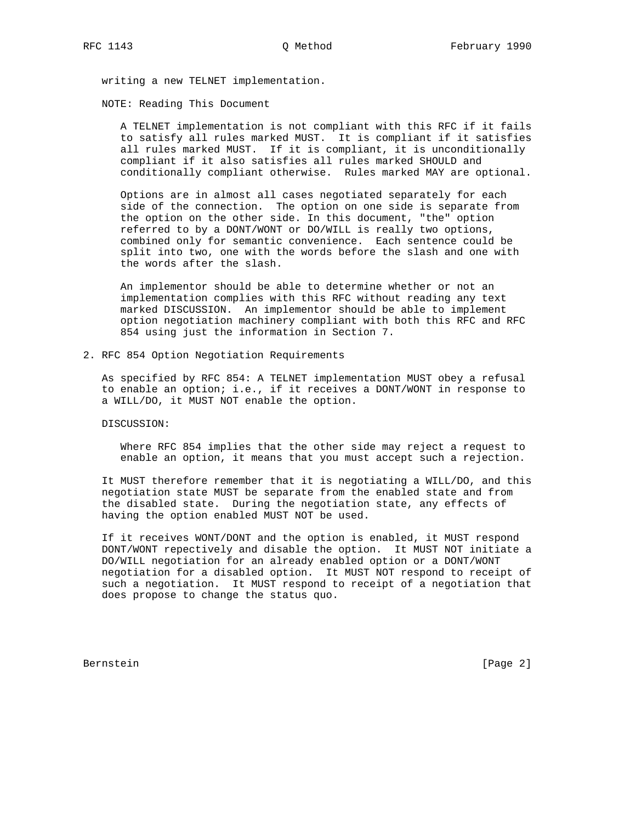writing a new TELNET implementation.

NOTE: Reading This Document

 A TELNET implementation is not compliant with this RFC if it fails to satisfy all rules marked MUST. It is compliant if it satisfies all rules marked MUST. If it is compliant, it is unconditionally compliant if it also satisfies all rules marked SHOULD and conditionally compliant otherwise. Rules marked MAY are optional.

 Options are in almost all cases negotiated separately for each side of the connection. The option on one side is separate from the option on the other side. In this document, "the" option referred to by a DONT/WONT or DO/WILL is really two options, combined only for semantic convenience. Each sentence could be split into two, one with the words before the slash and one with the words after the slash.

 An implementor should be able to determine whether or not an implementation complies with this RFC without reading any text marked DISCUSSION. An implementor should be able to implement option negotiation machinery compliant with both this RFC and RFC 854 using just the information in Section 7.

# 2. RFC 854 Option Negotiation Requirements

 As specified by RFC 854: A TELNET implementation MUST obey a refusal to enable an option; i.e., if it receives a DONT/WONT in response to a WILL/DO, it MUST NOT enable the option.

DISCUSSION:

 Where RFC 854 implies that the other side may reject a request to enable an option, it means that you must accept such a rejection.

 It MUST therefore remember that it is negotiating a WILL/DO, and this negotiation state MUST be separate from the enabled state and from the disabled state. During the negotiation state, any effects of having the option enabled MUST NOT be used.

 If it receives WONT/DONT and the option is enabled, it MUST respond DONT/WONT repectively and disable the option. It MUST NOT initiate a DO/WILL negotiation for an already enabled option or a DONT/WONT negotiation for a disabled option. It MUST NOT respond to receipt of such a negotiation. It MUST respond to receipt of a negotiation that does propose to change the status quo.

Bernstein [Page 2]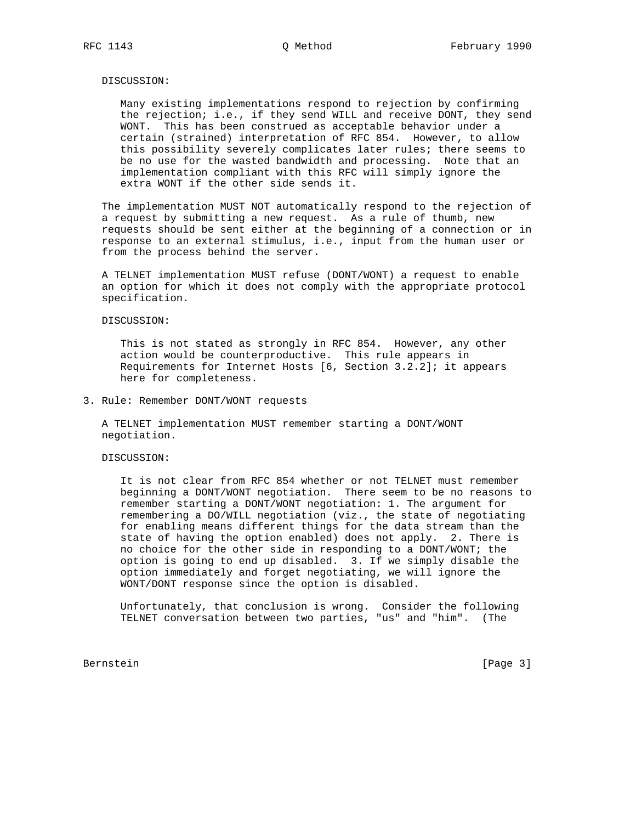### DISCUSSION:

 Many existing implementations respond to rejection by confirming the rejection; i.e., if they send WILL and receive DONT, they send WONT. This has been construed as acceptable behavior under a certain (strained) interpretation of RFC 854. However, to allow this possibility severely complicates later rules; there seems to be no use for the wasted bandwidth and processing. Note that an implementation compliant with this RFC will simply ignore the extra WONT if the other side sends it.

 The implementation MUST NOT automatically respond to the rejection of a request by submitting a new request. As a rule of thumb, new requests should be sent either at the beginning of a connection or in response to an external stimulus, i.e., input from the human user or from the process behind the server.

 A TELNET implementation MUST refuse (DONT/WONT) a request to enable an option for which it does not comply with the appropriate protocol specification.

### DISCUSSION:

 This is not stated as strongly in RFC 854. However, any other action would be counterproductive. This rule appears in Requirements for Internet Hosts [6, Section 3.2.2]; it appears here for completeness.

3. Rule: Remember DONT/WONT requests

 A TELNET implementation MUST remember starting a DONT/WONT negotiation.

### DISCUSSION:

 It is not clear from RFC 854 whether or not TELNET must remember beginning a DONT/WONT negotiation. There seem to be no reasons to remember starting a DONT/WONT negotiation: 1. The argument for remembering a DO/WILL negotiation (viz., the state of negotiating for enabling means different things for the data stream than the state of having the option enabled) does not apply. 2. There is no choice for the other side in responding to a DONT/WONT; the option is going to end up disabled. 3. If we simply disable the option immediately and forget negotiating, we will ignore the WONT/DONT response since the option is disabled.

 Unfortunately, that conclusion is wrong. Consider the following TELNET conversation between two parties, "us" and "him". (The

Bernstein [Page 3]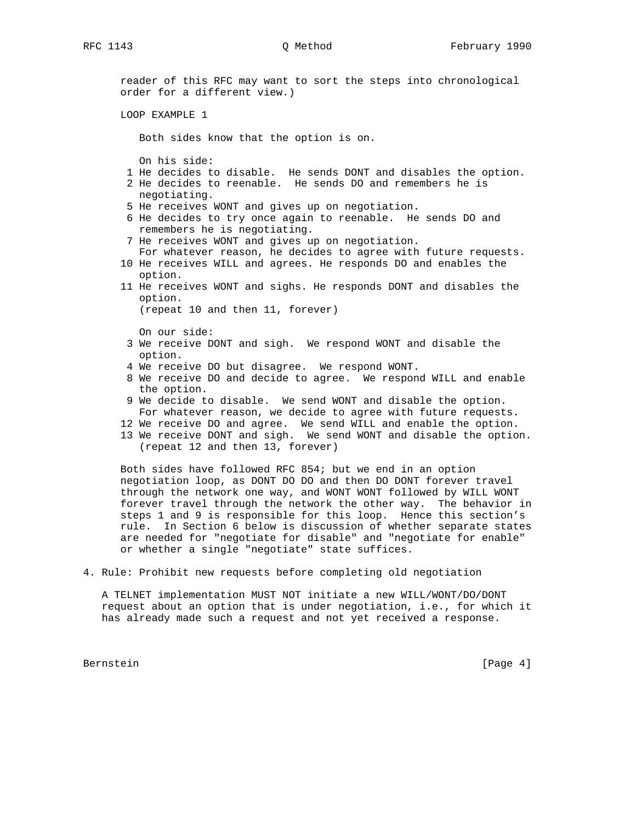reader of this RFC may want to sort the steps into chronological order for a different view.) LOOP EXAMPLE 1 Both sides know that the option is on. On his side: 1 He decides to disable. He sends DONT and disables the option. 2 He decides to reenable. He sends DO and remembers he is negotiating. 5 He receives WONT and gives up on negotiation. 6 He decides to try once again to reenable. He sends DO and remembers he is negotiating. 7 He receives WONT and gives up on negotiation. For whatever reason, he decides to agree with future requests. 10 He receives WILL and agrees. He responds DO and enables the option. 11 He receives WONT and sighs. He responds DONT and disables the option. (repeat 10 and then 11, forever) On our side: 3 We receive DONT and sigh. We respond WONT and disable the option. 4 We receive DO but disagree. We respond WONT. 8 We receive DO and decide to agree. We respond WILL and enable the option. 9 We decide to disable. We send WONT and disable the option. For whatever reason, we decide to agree with future requests. 12 We receive DO and agree. We send WILL and enable the option. 13 We receive DONT and sigh. We send WONT and disable the option. (repeat 12 and then 13, forever) Both sides have followed RFC 854; but we end in an option

 negotiation loop, as DONT DO DO and then DO DONT forever travel through the network one way, and WONT WONT followed by WILL WONT forever travel through the network the other way. The behavior in steps 1 and 9 is responsible for this loop. Hence this section's rule. In Section 6 below is discussion of whether separate states are needed for "negotiate for disable" and "negotiate for enable" or whether a single "negotiate" state suffices.

4. Rule: Prohibit new requests before completing old negotiation

 A TELNET implementation MUST NOT initiate a new WILL/WONT/DO/DONT request about an option that is under negotiation, i.e., for which it has already made such a request and not yet received a response.

Bernstein [Page 4]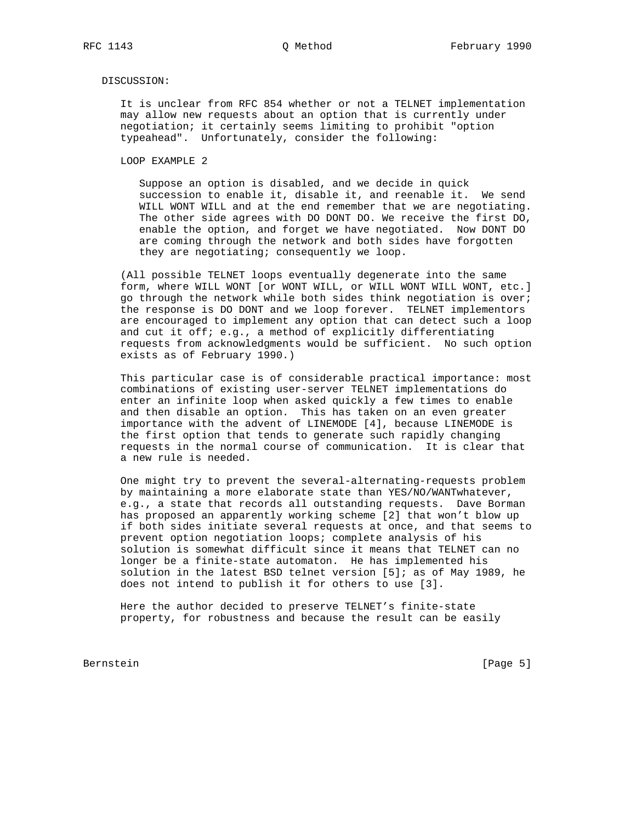# DISCUSSION:

 It is unclear from RFC 854 whether or not a TELNET implementation may allow new requests about an option that is currently under negotiation; it certainly seems limiting to prohibit "option typeahead". Unfortunately, consider the following:

LOOP EXAMPLE 2

 Suppose an option is disabled, and we decide in quick succession to enable it, disable it, and reenable it. We send WILL WONT WILL and at the end remember that we are negotiating. The other side agrees with DO DONT DO. We receive the first DO, enable the option, and forget we have negotiated. Now DONT DO are coming through the network and both sides have forgotten they are negotiating; consequently we loop.

 (All possible TELNET loops eventually degenerate into the same form, where WILL WONT [or WONT WILL, or WILL WONT WILL WONT, etc.] go through the network while both sides think negotiation is over; the response is DO DONT and we loop forever. TELNET implementors are encouraged to implement any option that can detect such a loop and cut it off; e.g., a method of explicitly differentiating requests from acknowledgments would be sufficient. No such option exists as of February 1990.)

 This particular case is of considerable practical importance: most combinations of existing user-server TELNET implementations do enter an infinite loop when asked quickly a few times to enable and then disable an option. This has taken on an even greater importance with the advent of LINEMODE [4], because LINEMODE is the first option that tends to generate such rapidly changing requests in the normal course of communication. It is clear that a new rule is needed.

 One might try to prevent the several-alternating-requests problem by maintaining a more elaborate state than YES/NO/WANTwhatever, e.g., a state that records all outstanding requests. Dave Borman has proposed an apparently working scheme [2] that won't blow up if both sides initiate several requests at once, and that seems to prevent option negotiation loops; complete analysis of his solution is somewhat difficult since it means that TELNET can no longer be a finite-state automaton. He has implemented his solution in the latest BSD telnet version [5]; as of May 1989, he does not intend to publish it for others to use [3].

 Here the author decided to preserve TELNET's finite-state property, for robustness and because the result can be easily

Bernstein [Page 5]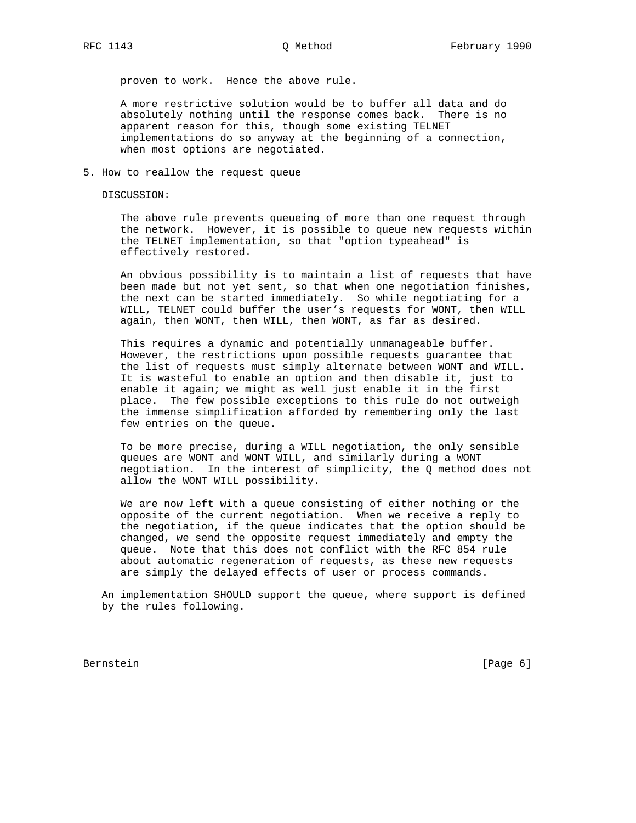proven to work. Hence the above rule.

 A more restrictive solution would be to buffer all data and do absolutely nothing until the response comes back. There is no apparent reason for this, though some existing TELNET implementations do so anyway at the beginning of a connection, when most options are negotiated.

5. How to reallow the request queue

DISCUSSION:

 The above rule prevents queueing of more than one request through the network. However, it is possible to queue new requests within the TELNET implementation, so that "option typeahead" is effectively restored.

 An obvious possibility is to maintain a list of requests that have been made but not yet sent, so that when one negotiation finishes, the next can be started immediately. So while negotiating for a WILL, TELNET could buffer the user's requests for WONT, then WILL again, then WONT, then WILL, then WONT, as far as desired.

 This requires a dynamic and potentially unmanageable buffer. However, the restrictions upon possible requests guarantee that the list of requests must simply alternate between WONT and WILL. It is wasteful to enable an option and then disable it, just to enable it again; we might as well just enable it in the first place. The few possible exceptions to this rule do not outweigh the immense simplification afforded by remembering only the last few entries on the queue.

 To be more precise, during a WILL negotiation, the only sensible queues are WONT and WONT WILL, and similarly during a WONT negotiation. In the interest of simplicity, the Q method does not allow the WONT WILL possibility.

 We are now left with a queue consisting of either nothing or the opposite of the current negotiation. When we receive a reply to the negotiation, if the queue indicates that the option should be changed, we send the opposite request immediately and empty the queue. Note that this does not conflict with the RFC 854 rule about automatic regeneration of requests, as these new requests are simply the delayed effects of user or process commands.

 An implementation SHOULD support the queue, where support is defined by the rules following.

Bernstein [Page 6]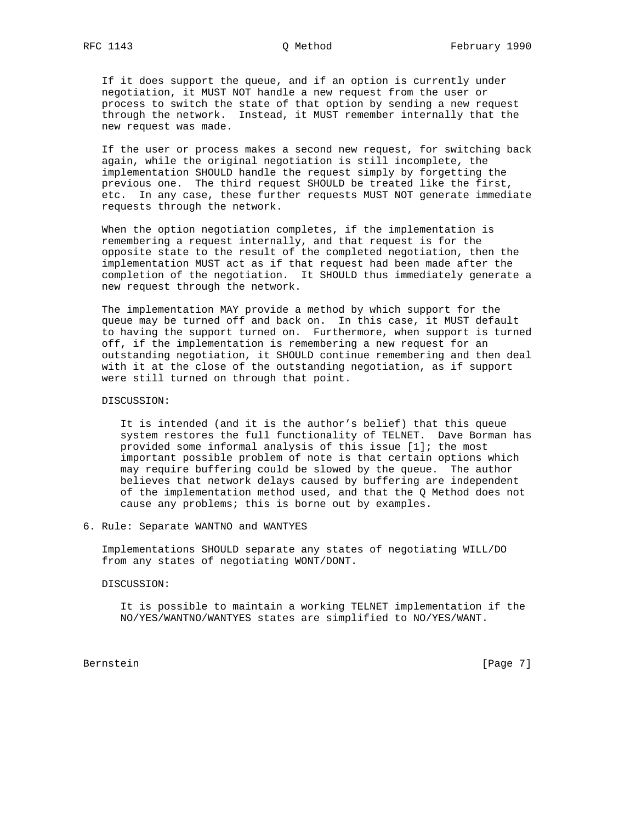If it does support the queue, and if an option is currently under negotiation, it MUST NOT handle a new request from the user or process to switch the state of that option by sending a new request through the network. Instead, it MUST remember internally that the new request was made.

 If the user or process makes a second new request, for switching back again, while the original negotiation is still incomplete, the implementation SHOULD handle the request simply by forgetting the previous one. The third request SHOULD be treated like the first, etc. In any case, these further requests MUST NOT generate immediate requests through the network.

 When the option negotiation completes, if the implementation is remembering a request internally, and that request is for the opposite state to the result of the completed negotiation, then the implementation MUST act as if that request had been made after the completion of the negotiation. It SHOULD thus immediately generate a new request through the network.

 The implementation MAY provide a method by which support for the queue may be turned off and back on. In this case, it MUST default to having the support turned on. Furthermore, when support is turned off, if the implementation is remembering a new request for an outstanding negotiation, it SHOULD continue remembering and then deal with it at the close of the outstanding negotiation, as if support were still turned on through that point.

# DISCUSSION:

 It is intended (and it is the author's belief) that this queue system restores the full functionality of TELNET. Dave Borman has provided some informal analysis of this issue [1]; the most important possible problem of note is that certain options which may require buffering could be slowed by the queue. The author believes that network delays caused by buffering are independent of the implementation method used, and that the Q Method does not cause any problems; this is borne out by examples.

## 6. Rule: Separate WANTNO and WANTYES

 Implementations SHOULD separate any states of negotiating WILL/DO from any states of negotiating WONT/DONT.

### DISCUSSION:

 It is possible to maintain a working TELNET implementation if the NO/YES/WANTNO/WANTYES states are simplified to NO/YES/WANT.

Bernstein [Page 7]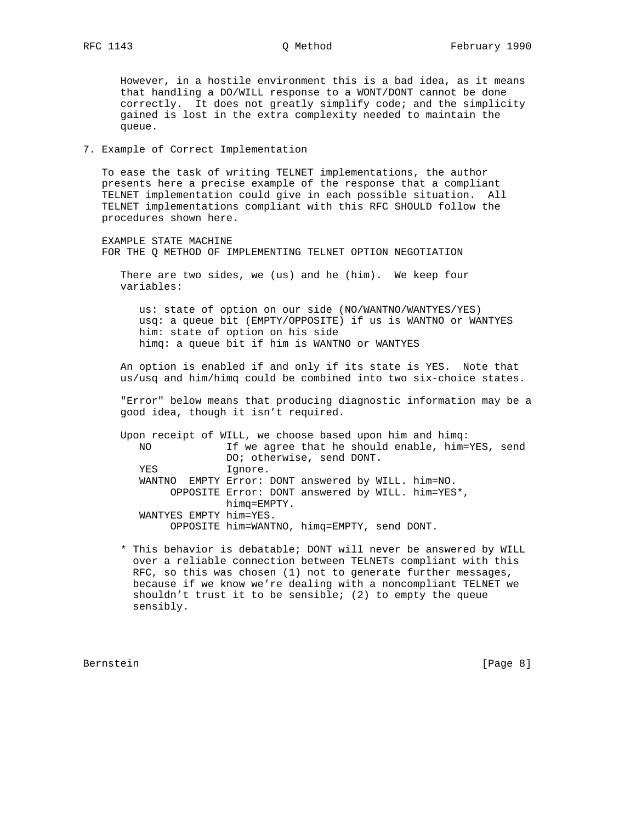However, in a hostile environment this is a bad idea, as it means that handling a DO/WILL response to a WONT/DONT cannot be done correctly. It does not greatly simplify code; and the simplicity gained is lost in the extra complexity needed to maintain the queue.

# 7. Example of Correct Implementation

 To ease the task of writing TELNET implementations, the author presents here a precise example of the response that a compliant TELNET implementation could give in each possible situation. All TELNET implementations compliant with this RFC SHOULD follow the procedures shown here.

 EXAMPLE STATE MACHINE FOR THE Q METHOD OF IMPLEMENTING TELNET OPTION NEGOTIATION

 There are two sides, we (us) and he (him). We keep four variables:

 us: state of option on our side (NO/WANTNO/WANTYES/YES) usq: a queue bit (EMPTY/OPPOSITE) if us is WANTNO or WANTYES him: state of option on his side himq: a queue bit if him is WANTNO or WANTYES

 An option is enabled if and only if its state is YES. Note that us/usq and him/himq could be combined into two six-choice states.

 "Error" below means that producing diagnostic information may be a good idea, though it isn't required.

 Upon receipt of WILL, we choose based upon him and himq: NO If we agree that he should enable, him=YES, send DO; otherwise, send DONT. YES Ignore. WANTNO EMPTY Error: DONT answered by WILL. him=NO. OPPOSITE Error: DONT answered by WILL. him=YES\*, himq=EMPTY. WANTYES EMPTY him=YES. OPPOSITE him=WANTNO, himq=EMPTY, send DONT.

 \* This behavior is debatable; DONT will never be answered by WILL over a reliable connection between TELNETs compliant with this RFC, so this was chosen (1) not to generate further messages, because if we know we're dealing with a noncompliant TELNET we shouldn't trust it to be sensible; (2) to empty the queue sensibly.

Bernstein [Page 8]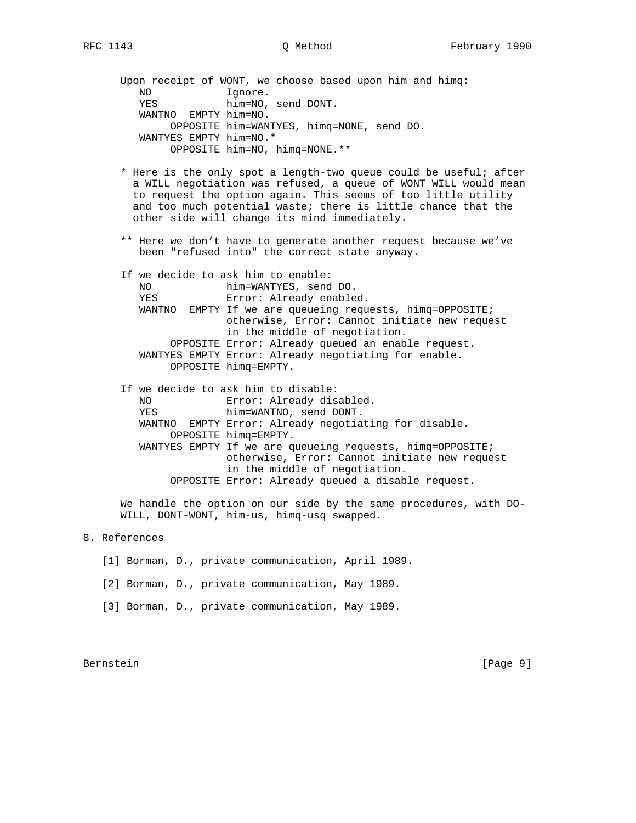Upon receipt of WONT, we choose based upon him and himq: NO Ignore. YES him=NO, send DONT. WANTNO EMPTY him=NO. OPPOSITE him=WANTYES, himq=NONE, send DO. WANTYES EMPTY him=NO.\* OPPOSITE him=NO, himq=NONE.\*\*

- \* Here is the only spot a length-two queue could be useful; after a WILL negotiation was refused, a queue of WONT WILL would mean to request the option again. This seems of too little utility and too much potential waste; there is little chance that the other side will change its mind immediately.
- \*\* Here we don't have to generate another request because we've been "refused into" the correct state anyway.

If we decide to ask him to enable:

| NO.    | him=WANTYES, send DO.                                |
|--------|------------------------------------------------------|
| YES    | Error: Already enabled.                              |
| WANTNO | EMPTY If we are queueing requests, himg=OPPOSITE;    |
|        | otherwise, Error: Cannot initiate new request        |
|        | in the middle of negotiation.                        |
|        | OPPOSITE Error: Already queued an enable request.    |
|        | WANTYES EMPTY Error: Already negotiating for enable. |
|        | OPPOSITE himq=EMPTY.                                 |

|     | If we decide to ask him to disable:                       |
|-----|-----------------------------------------------------------|
| NO. | Error: Already disabled.                                  |
| YES | him=WANTNO, send DONT.                                    |
|     | WANTNO EMPTY Error: Already negotiating for disable.      |
|     | OPPOSITE himq=EMPTY.                                      |
|     | WANTYES EMPTY If we are queueing requests, himq=OPPOSITE; |
|     | otherwise, Error: Cannot initiate new request             |
|     | in the middle of negotiation.                             |
|     | OPPOSITE Error: Already queued a disable request.         |

 We handle the option on our side by the same procedures, with DO- WILL, DONT-WONT, him-us, himq-usq swapped.

# 8. References

- [1] Borman, D., private communication, April 1989.
- [2] Borman, D., private communication, May 1989.
- [3] Borman, D., private communication, May 1989.

Bernstein [Page 9]